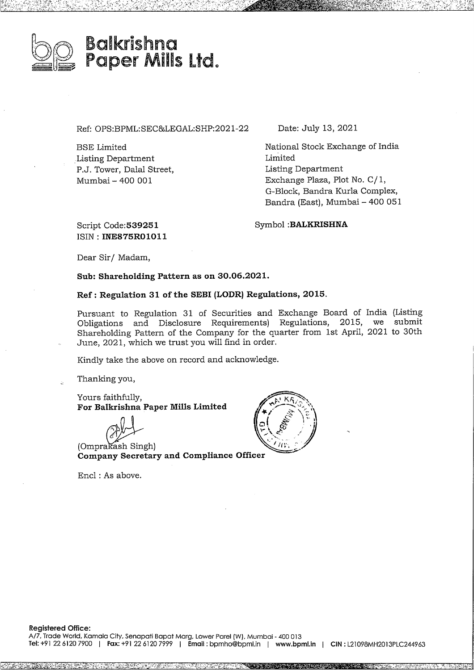

Ref: OPS:BPML:SEC&LEGAL:SHP:2021-22

BSE Limited Listing Department P.J. Tower, Dalal Street, Mumbai - 400 001

Date: July 13, 2021

National Stock Exchange of India Limited Listing Department Exchange Plaza, Plot No. C/ 1, G-Block, Bandra Kurla Complex, Bandra (East), Mumbai - 400 051

Script **Code:539251** ISIN : **INE875R01011** Symbol **:BALKRISHNA**

Dear Sir/ Madam,

**Sub: Shareholding Pattern as on 30.06.2021.**

**Ref: Regulation 31 of the SEBI (LODR) Regulations, 2015.**

Pursuant to Regulation 31 of Securities and Exchange Board of India (Listing<br>Obligations, and Disclosure, Requirements), Regulations, 2015, we submit Obligations and Disclosure Requirements) Regulations, 2015, Shareholding Pattern of the Company for the quarter from 1st April, <sup>2021</sup> to 30th June, 2021, which we trust you will find in order.

Kindly take the above on record and acknowledge.

Thanking you,

Yours faithfully, **For Balkrishna Paper Mills Limited**

**C • ompany Secretary and Compliance Officer**

Encl : As above.

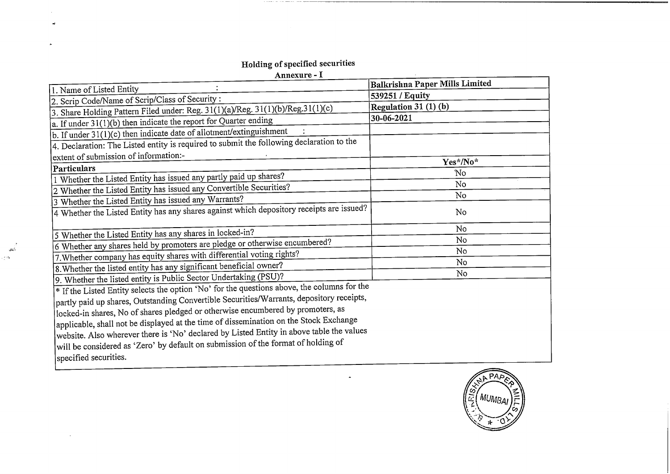## **Holding ofspecified securities**

 $\mathbb{R}^2$  $\rightarrow$ 

 $\omega$ 

 $\frac{1}{\sqrt{2}}$ ie ek

 $\Box$ 

| Annexure - I                                                                                |                                |
|---------------------------------------------------------------------------------------------|--------------------------------|
| 1. Name of Listed Entity                                                                    | Balkrishna Paper Mills Limited |
| 2. Scrip Code/Name of Scrip/Class of Security:                                              | 539251 / Equity                |
| 3. Share Holding Pattern Filed under: Reg. 31(1)(a)/Reg. 31(1)(b)/Reg. 31(1)(c)             | Regulation 31 (1) (b)          |
| $a$ . If under 31(1)(b) then indicate the report for Quarter ending                         | 30-06-2021                     |
| b. If under 31(1)(c) then indicate date of allotment/extinguishment                         |                                |
| 4. Declaration: The Listed entity is required to submit the following declaration to the    |                                |
|                                                                                             |                                |
| extent of submission of information:-                                                       | Yes*/No*                       |
| Particulars                                                                                 | No                             |
| 1 Whether the Listed Entity has issued any partly paid up shares?                           | No                             |
| 2 Whether the Listed Entity has issued any Convertible Securities?                          | No                             |
| 3 Whether the Listed Entity has issued any Warrants?                                        |                                |
| 4 Whether the Listed Entity has any shares against which depository receipts are issued?    | No                             |
|                                                                                             | No                             |
| 5 Whether the Listed Entity has any shares in locked-in?                                    | N <sub>o</sub>                 |
| 6 Whether any shares held by promoters are pledge or otherwise encumbered?                  | No                             |
| 7. Whether company has equity shares with differential voting rights?                       | No                             |
| 8. Whether the listed entity has any significant beneficial owner?                          | No                             |
| 9. Whether the listed entity is Public Sector Undertaking (PSU)?                            |                                |
| * If the Listed Entity selects the option 'No' for the questions above, the columns for the |                                |
| partly paid up shares, Outstanding Convertible Securities/Warrants, depository receipts,    |                                |
| locked-in shares, No of shares pledged or otherwise encumbered by promoters, as             |                                |
| applicable, shall not be displayed at the time of dissemination on the Stock Exchange       |                                |
| website. Also wherever there is 'No' declared by Listed Entity in above table the values    |                                |
| will be considered as 'Zero' by default on submission of the format of holding of           |                                |
| specified securities.                                                                       |                                |
|                                                                                             |                                |

 $\mathbf{a}^{\prime}$ 

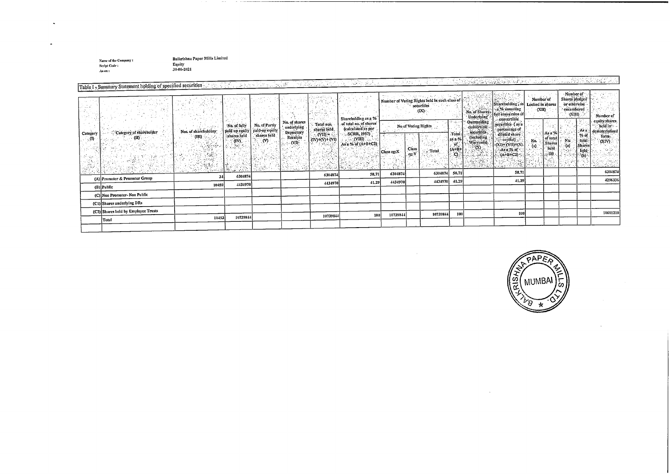Name of the Company : SeriptCole : Asan :

 $\sim$ 

 $\overline{\phantom{a}}$ 

Balkrishna Paper Mills Limited Equity 30-406-2021

|          | <u>. 1996. Saman yang kalendar salah sahiji dan sama sang dan salah salah salah sahiji dan saman salah sahiji da</u><br>25. 23. 23. 24. 25.<br>ins a selection of the control<br>Table I - Summary Statement holding of specified securities |                                                                                                                                                                                                                                                                    |                                                                         |                                                         |                                                                       |                                                          |                                                                                                                                                  |            |                                                                           |                                                                                  |                                                         |                                                                                                                                     |                                                                                                                                                                                          |                                              |                                                   |                                                                                                                                                                      |                                                                                           |
|----------|----------------------------------------------------------------------------------------------------------------------------------------------------------------------------------------------------------------------------------------------|--------------------------------------------------------------------------------------------------------------------------------------------------------------------------------------------------------------------------------------------------------------------|-------------------------------------------------------------------------|---------------------------------------------------------|-----------------------------------------------------------------------|----------------------------------------------------------|--------------------------------------------------------------------------------------------------------------------------------------------------|------------|---------------------------------------------------------------------------|----------------------------------------------------------------------------------|---------------------------------------------------------|-------------------------------------------------------------------------------------------------------------------------------------|------------------------------------------------------------------------------------------------------------------------------------------------------------------------------------------|----------------------------------------------|---------------------------------------------------|----------------------------------------------------------------------------------------------------------------------------------------------------------------------|-------------------------------------------------------------------------------------------|
|          |                                                                                                                                                                                                                                              |                                                                                                                                                                                                                                                                    |                                                                         |                                                         |                                                                       |                                                          |                                                                                                                                                  |            |                                                                           |                                                                                  |                                                         |                                                                                                                                     |                                                                                                                                                                                          |                                              |                                                   |                                                                                                                                                                      |                                                                                           |
| Category | Category of shareholder<br>. (II) -                                                                                                                                                                                                          | Nos. of shareholders<br>(M) - 82<br>e e de la provincia de la provincia de la provincia de la provincia de la provincia de la provincia de la prov<br>Estado de la provincia de la provincia de la provincia de la provincia de la provincia de la provincia de la | No. of fully<br>shares held<br>$(n)$ .<br>$\mathcal{D}_{\mathcal{R}}$ . | No. of Partly<br>paid up equity paid-up equity<br>୍ (V) | No. of shares<br>underlying<br>Depository<br>Receipts<br>$\sim$ (VI). | Total nos.<br>shares held<br>(VII) = :<br>(IV)+(V)+ (VI) | Shareholding as a %<br>of total no. of shares<br>(calculated as per<br>SCRR, 1957)<br>$(NIII)$<br>As a % of $(A+B+C2)$<br>303, 2817<br>المنتبط أ | Class eg:X | No of Voting Rights.<br><b>Class</b><br>$\mathbf{c}\mathbf{p};\mathbf{Y}$ | Number of Voting Rights held in each class of<br>securities<br>(DS)<br>∵ , Total | 17. SE<br>Total<br>2.52.%<br>$\alpha$<br>$\overline{O}$ | No. of Shares<br>Underlying<br><b>Outstanding</b><br>convertible<br>securities<br>(including<br>$\frac{Warrants}{(x)}$<br>1.4.1.1.2 | Shareholding, as Locked in shares<br>$\sim$ a,% assuming<br>full conversion of<br>convertible.<br>securities (as a<br>percentage of<br>difficied share<br>cxn=(VII)+(X).<br>$(A+1) + C2$ | Number of<br><b>CKID</b><br>No.<br>$\pm$ (a) | As a %<br>  of total<br>  Shares<br>  held<br>(b) | Number of<br>Shares pledged<br>or otherwise<br>encumbered<br><b>AUD</b><br>As a<br>% of<br>No:<br>   fotal<br>  Shares<br>$\epsilon$ (a)<br>held <sup>.</sup><br>(b) | Number of<br>equity shares.<br>held in<br>dematerialized<br>form.<br>(XIV)<br>WAS CRAFTED |
|          |                                                                                                                                                                                                                                              | 34                                                                                                                                                                                                                                                                 | 6301874                                                                 |                                                         |                                                                       | 6304874                                                  | 58.71                                                                                                                                            | 6304874    |                                                                           | 6304874                                                                          | 58.71                                                   |                                                                                                                                     | 58,71                                                                                                                                                                                    |                                              |                                                   |                                                                                                                                                                      | 6304874                                                                                   |
|          | (A) Promoter & Promoter Group                                                                                                                                                                                                                |                                                                                                                                                                                                                                                                    |                                                                         |                                                         |                                                                       | 4434970                                                  | 41.29                                                                                                                                            | 4434970    |                                                                           | 4434970                                                                          | 41.29                                                   |                                                                                                                                     | 41,29                                                                                                                                                                                    |                                              |                                                   |                                                                                                                                                                      | 4296336                                                                                   |
|          | (B) Public                                                                                                                                                                                                                                   | 10459                                                                                                                                                                                                                                                              | 4434970                                                                 |                                                         |                                                                       |                                                          |                                                                                                                                                  |            |                                                                           |                                                                                  |                                                         |                                                                                                                                     |                                                                                                                                                                                          |                                              |                                                   |                                                                                                                                                                      |                                                                                           |
|          | (C) Non Promoter-Non Public                                                                                                                                                                                                                  |                                                                                                                                                                                                                                                                    |                                                                         |                                                         |                                                                       |                                                          |                                                                                                                                                  |            |                                                                           |                                                                                  |                                                         |                                                                                                                                     |                                                                                                                                                                                          |                                              |                                                   |                                                                                                                                                                      |                                                                                           |
|          | (C1) Shares underlying DRs                                                                                                                                                                                                                   |                                                                                                                                                                                                                                                                    |                                                                         |                                                         |                                                                       |                                                          |                                                                                                                                                  |            |                                                                           |                                                                                  |                                                         |                                                                                                                                     |                                                                                                                                                                                          |                                              |                                                   |                                                                                                                                                                      |                                                                                           |
|          | (C2) Shares held by Employee Trusts                                                                                                                                                                                                          |                                                                                                                                                                                                                                                                    |                                                                         |                                                         |                                                                       |                                                          |                                                                                                                                                  |            |                                                                           | 10739844                                                                         | 100                                                     |                                                                                                                                     | 100                                                                                                                                                                                      |                                              |                                                   |                                                                                                                                                                      | 10601210                                                                                  |
|          | Total                                                                                                                                                                                                                                        | 10493                                                                                                                                                                                                                                                              | 10739844                                                                |                                                         |                                                                       | 10739844                                                 | 100                                                                                                                                              | 10739844   |                                                                           |                                                                                  |                                                         |                                                                                                                                     |                                                                                                                                                                                          |                                              |                                                   |                                                                                                                                                                      |                                                                                           |
|          |                                                                                                                                                                                                                                              |                                                                                                                                                                                                                                                                    |                                                                         |                                                         |                                                                       |                                                          |                                                                                                                                                  |            |                                                                           |                                                                                  |                                                         |                                                                                                                                     |                                                                                                                                                                                          |                                              |                                                   |                                                                                                                                                                      |                                                                                           |

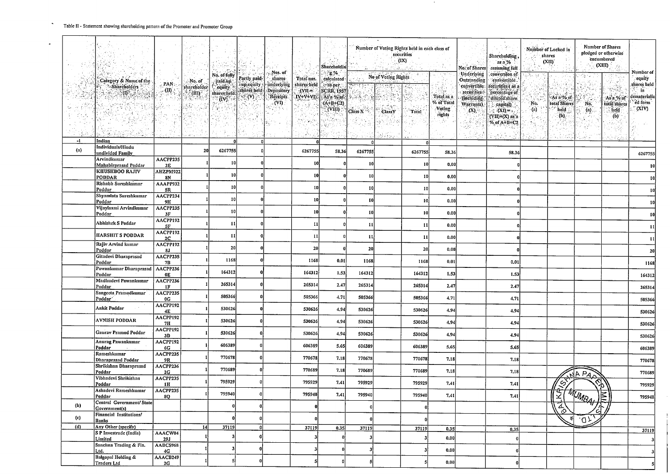$\ddot{\phantom{1}}$ 

 $\overline{a}$ 

┱

|      |                                                       |                           |                                                       |                                |                                        | Mos. of                                                                 |                                             | Sharcholdin<br>ં ફુજ                                      |                 | Number of Voting Rights held in each class of<br>securities<br>$\left( \mathrm{IX}\right)$<br>istan zind |          | Shareholding,<br>$as a \%$<br>No. of Shares<br>assuming full<br>Underlying<br>conversion of |                                                       | Number of Locked in<br>shares<br>(XII)                          |                                                                   | <b>Number of Shares</b><br>pledged or otherwise<br>encumbered<br>(XIII)<br>V.                |            | Number of                            |                                                |
|------|-------------------------------------------------------|---------------------------|-------------------------------------------------------|--------------------------------|----------------------------------------|-------------------------------------------------------------------------|---------------------------------------------|-----------------------------------------------------------|-----------------|----------------------------------------------------------------------------------------------------------|----------|---------------------------------------------------------------------------------------------|-------------------------------------------------------|-----------------------------------------------------------------|-------------------------------------------------------------------|----------------------------------------------------------------------------------------------|------------|--------------------------------------|------------------------------------------------|
|      | Category & Name of the                                |                           | ∴No. of                                               | No. of fully<br>. paid.up.     | Partly paid-                           | shares                                                                  | Total nos.                                  | calculated                                                |                 | No of Voting Rights                                                                                      |          |                                                                                             | Outstanding                                           | convertible.                                                    |                                                                   |                                                                                              | 网络化学       |                                      | cquity.                                        |
|      | -Sharcholders<br>$\langle 0 \rangle$ , $\langle$      | PAN<br>$\mathbf{u}$<br>남국 | shareholder  <br>$\mathbb{R}^n$ (in ).<br>a ng Kalend | equity<br>shares held.<br>(iv) | sup equity<br>sliares held:<br>ં (V) ( | underlying<br><b>Depository</b><br>Receipts<br>$\langle$ (VI) $\rangle$ | shares field<br>$\cdot$ (VII.=<br>$IV+V+VI$ | le as per<br><b>SCRR, 1957</b><br>As a % of<br>$(A+B+C2)$ | 家族家族            |                                                                                                          |          | χĐ,<br>l-∖ap-<br>Total as a<br>% of Total                                                   | convertible<br>securities<br>(including<br>Warrants). | securities ( as a<br>percentage of<br>dilüted share<br>capital) | No.                                                               | As a % of<br>total Shares                                                                    | No.        | n velik<br>As a % of<br>total shares | slinres lield<br>iñ<br>dematerializ<br>ed form |
|      |                                                       |                           |                                                       |                                |                                        |                                                                         |                                             | $($ VIII) $\cdot$                                         | Class $X =$     | <b>ClassY</b>                                                                                            | Total    | Voting<br>rights<br>en dir                                                                  | $(X)$ .<br>园林<br>in George                            | $(XI) = 1$<br>(VII)+(X) as a<br>% of A+B+C2                     | $\ddot{p}$<br>$\mathcal{H}_\mathrm{R}$ , $\mathcal{H}_\mathrm{R}$ | held<br>(b)                                                                                  | $(n)$ .    | held<br>(b)<br>dias,                 | (XIV).                                         |
|      |                                                       |                           |                                                       |                                |                                        |                                                                         |                                             |                                                           |                 | é Bro                                                                                                    |          |                                                                                             |                                                       |                                                                 |                                                                   |                                                                                              |            |                                      |                                                |
| $-1$ | Indian<br>Individuals/Hindu                           |                           |                                                       |                                |                                        |                                                                         | $\mathbf{a}$                                |                                                           |                 |                                                                                                          |          |                                                                                             |                                                       |                                                                 |                                                                   |                                                                                              |            |                                      |                                                |
| (n)  | undivided Family                                      |                           | 20                                                    | 6267755                        |                                        |                                                                         | 6267755                                     | 58,36                                                     | 6267755         |                                                                                                          | 6267755  | 58.36                                                                                       |                                                       | 58.36                                                           |                                                                   |                                                                                              |            |                                      | 6267755                                        |
|      | Arvindkumar<br>Mahabirprasad Poddar                   | AACPP235<br>2E            |                                                       | 10                             |                                        |                                                                         | 10                                          |                                                           | 10              |                                                                                                          | 10       | 0.00                                                                                        |                                                       |                                                                 |                                                                   |                                                                                              |            |                                      |                                                |
|      | <b>KHUSHBOO RAJIV</b><br>PODDAR                       | AHZPM922<br>8N            |                                                       | 10                             |                                        |                                                                         | 10                                          |                                                           | 10              |                                                                                                          | 10       | 0,00                                                                                        |                                                       |                                                                 |                                                                   |                                                                                              |            |                                      |                                                |
|      | Rishabh Sureshkumar                                   | AAAPP932                  |                                                       | 10                             |                                        |                                                                         | 10                                          |                                                           |                 |                                                                                                          |          |                                                                                             |                                                       |                                                                 |                                                                   |                                                                                              |            |                                      |                                                |
|      | Poddar<br>Shyamlata Sureshkumar                       | 5R<br>AACPP234            |                                                       |                                |                                        |                                                                         |                                             |                                                           | 10 <sub>2</sub> |                                                                                                          | 10       | 0.00                                                                                        |                                                       |                                                                 |                                                                   |                                                                                              |            |                                      |                                                |
|      | Poddar<br>Vijaylaxni Arvindkumar                      | 9H<br>AACPP235            |                                                       | 10                             |                                        |                                                                         | 10                                          |                                                           | $\mathbf{10}$   |                                                                                                          | 10       | 0.00                                                                                        |                                                       |                                                                 |                                                                   |                                                                                              |            |                                      |                                                |
|      | Poddar                                                | 3F                        |                                                       | 10                             |                                        |                                                                         | 10                                          |                                                           | $\mathbf{1}$    |                                                                                                          | 10       | 0.00                                                                                        |                                                       |                                                                 |                                                                   |                                                                                              |            |                                      |                                                |
|      | Abhishek S Poddar                                     | AACPP192<br>5F            |                                                       | $\mathbf{11}$                  |                                        |                                                                         |                                             |                                                           | -11             |                                                                                                          | 11       | 0.00                                                                                        |                                                       |                                                                 |                                                                   |                                                                                              |            |                                      |                                                |
|      | <b>HARSHIT S PODDAR</b>                               | AACPP192<br>2C            |                                                       | $\mathbf{11}$                  |                                        |                                                                         | 11                                          |                                                           | 11              |                                                                                                          | 11       | 0.00                                                                                        |                                                       |                                                                 |                                                                   |                                                                                              |            |                                      |                                                |
|      | Rajiv Arvind kumar                                    | AACPP192<br>8J            |                                                       | 20                             |                                        |                                                                         | 20                                          |                                                           | 20              |                                                                                                          | 20       | 0.00                                                                                        |                                                       |                                                                 |                                                                   |                                                                                              |            |                                      |                                                |
|      | Poddar<br>Gitadevi Dharaprasad<br>Poddar              | AACPP235<br>7B            |                                                       | 1168                           |                                        |                                                                         | 1168                                        | 0.01                                                      | 1168            |                                                                                                          | 1168     | 0.01                                                                                        |                                                       | 0.01                                                            |                                                                   |                                                                                              |            |                                      | 1168                                           |
|      | Pawankumar Dharaprasad   AACPP236<br>Poddar           | <b>0E</b>                 |                                                       | 164312                         |                                        |                                                                         | 164312                                      | 1.53                                                      | 164312          |                                                                                                          | 164312   | 1.53                                                                                        |                                                       | 1.53                                                            |                                                                   |                                                                                              |            |                                      |                                                |
|      | Madhudevi Pawankumar                                  | AACPP236                  |                                                       | 265314                         |                                        |                                                                         | 26531                                       | 2.47                                                      | 265314          |                                                                                                          | 265314   | 2,47                                                                                        |                                                       |                                                                 |                                                                   |                                                                                              |            |                                      | 164312                                         |
|      | Poddar<br>Sangeeta Pramodkumar<br>Poddar <sup>*</sup> | 1F<br>AACPP235<br>0G      |                                                       | 505366                         |                                        |                                                                         | 505366                                      | 4.71                                                      | 505366          |                                                                                                          | 505366   | 4.71                                                                                        |                                                       | 2.47<br>4.71                                                    |                                                                   |                                                                                              |            |                                      | 265314                                         |
|      | Ankit Poddar                                          | AACPP192                  |                                                       | 530626                         |                                        |                                                                         | 530626                                      | 4.94                                                      | 530626          |                                                                                                          | 530626   |                                                                                             |                                                       |                                                                 |                                                                   |                                                                                              |            |                                      | 505366                                         |
|      | <b>AVNISH PODDÁR</b>                                  | 4E<br>AACPP192            |                                                       | 530626                         |                                        |                                                                         |                                             |                                                           |                 |                                                                                                          |          | 4.94                                                                                        |                                                       | 4.94                                                            |                                                                   |                                                                                              |            |                                      | 530626                                         |
|      |                                                       | 7H<br>AACPP192            |                                                       |                                |                                        |                                                                         | 530626                                      | 4.94                                                      | 530626          |                                                                                                          | 530626   | 4.94                                                                                        |                                                       | 4.94                                                            |                                                                   |                                                                                              |            |                                      | 530626                                         |
|      | Gaurav Pramod Poddar<br>Anurag Pawankumar             | 3D<br>AACPP192            |                                                       | 530626                         |                                        |                                                                         | 530626                                      | 4.94                                                      | 530626          |                                                                                                          | 530626   | 4.94                                                                                        |                                                       | 4.94                                                            |                                                                   |                                                                                              |            |                                      | 530626                                         |
|      | Poddar                                                | 6G                        |                                                       | 606389                         |                                        |                                                                         | 606389                                      | 5.65                                                      | 606389          |                                                                                                          | 606389   | 5,65                                                                                        |                                                       | 5.65                                                            |                                                                   |                                                                                              |            |                                      | 606389                                         |
|      | Rameshkumar<br>Dharaprasad Poddar                     | AACPP235<br>9R            |                                                       | 770678                         |                                        |                                                                         | 770678                                      | 7.18                                                      | 770678          |                                                                                                          | 770678   | 7.18                                                                                        |                                                       | 7.18                                                            |                                                                   |                                                                                              |            |                                      | 770678                                         |
|      | Shrikishan Dharaprasad<br>Poddar                      | AACPP236<br>2G            |                                                       | 770689                         |                                        |                                                                         | 770689                                      | 7.18                                                      | 770685          |                                                                                                          | 770689   | 7.18                                                                                        |                                                       | 7.18                                                            |                                                                   |                                                                                              | NA PAN     |                                      | 770689                                         |
|      | Vibhadevi Shrikishan<br>Poddar                        | AACPP235<br>1H            |                                                       | 795929                         |                                        |                                                                         | 795929                                      | 7.41                                                      | 795929          |                                                                                                          | 795929   | 7.41                                                                                        |                                                       | 7.41                                                            |                                                                   | $\mathcal{S}$                                                                                |            |                                      | 795929                                         |
|      | Ashadevi Rameshkumar<br>Poddar                        | AACPP235<br>80            |                                                       | 795940                         |                                        |                                                                         | 795940                                      | 7.41                                                      | 795940          |                                                                                                          | 795940   | 7,41                                                                                        |                                                       | 7.41                                                            |                                                                   |                                                                                              |            |                                      | 795940                                         |
| (b)  | Central Government/State<br>Government(s)             |                           |                                                       |                                |                                        |                                                                         |                                             |                                                           |                 |                                                                                                          | o        |                                                                                             |                                                       |                                                                 |                                                                   | $\frac{\left(\frac{S}{2}\left(\frac{M_{M}}{2}u\right)\right)}{\left(\frac{Z}{2}\right)^{2}}$ |            |                                      |                                                |
| (c)  | Financial Institutions/<br>Banks                      |                           |                                                       |                                |                                        |                                                                         |                                             |                                                           |                 |                                                                                                          | $\bf{0}$ |                                                                                             |                                                       |                                                                 |                                                                   |                                                                                              | $\sqrt{2}$ |                                      |                                                |
| (d)  | Any Other (specify)                                   |                           | 14                                                    | 37119                          |                                        |                                                                         | 37119                                       | 0.35                                                      | 37119           |                                                                                                          | 37119    | 0.35                                                                                        |                                                       | 0.35                                                            |                                                                   |                                                                                              |            |                                      | 37119                                          |
|      | S P Investrade (India)<br>Limited                     | AAACW04<br><b>29J</b>     |                                                       |                                |                                        |                                                                         |                                             |                                                           |                 |                                                                                                          | -31      | 0.00                                                                                        |                                                       |                                                                 |                                                                   |                                                                                              |            |                                      |                                                |
|      | Sanchna Trading & Fin.<br>Ltd.                        | AABCS968<br>4G            |                                                       |                                |                                        |                                                                         |                                             |                                                           |                 |                                                                                                          | -3       | 0.00                                                                                        |                                                       |                                                                 |                                                                   |                                                                                              |            |                                      |                                                |
|      | <b>Balgopal Holding &amp;</b><br>Traders Ltd          | AAACB249<br>2G            |                                                       |                                |                                        |                                                                         |                                             |                                                           |                 |                                                                                                          |          | 0.00                                                                                        |                                                       |                                                                 |                                                                   |                                                                                              |            |                                      |                                                |

 $\sim$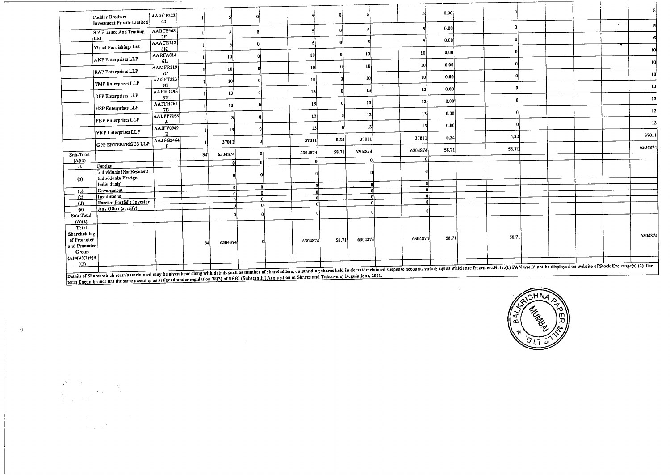|                       | Poddar Brothers<br>Investment Private Limited   | AAACP222<br>0J        |     |              |    |    |               |       |              |        |                 | 0.00  |                                                                                                                                                                                                                                |  |           |         |
|-----------------------|-------------------------------------------------|-----------------------|-----|--------------|----|----|---------------|-------|--------------|--------|-----------------|-------|--------------------------------------------------------------------------------------------------------------------------------------------------------------------------------------------------------------------------------|--|-----------|---------|
|                       | S P Finance And Trading                         | AABCS968              |     |              | Đ. |    |               |       |              |        |                 | 0.00  |                                                                                                                                                                                                                                |  | $\bullet$ |         |
|                       | Ltd                                             | 7F                    |     |              |    |    |               |       |              |        |                 | 0.00  |                                                                                                                                                                                                                                |  |           |         |
|                       | Vishal Furnishings Ltd                          | AAACR213<br>8К        |     |              |    |    |               |       |              |        |                 |       |                                                                                                                                                                                                                                |  |           | 10      |
|                       | <b>AKP</b> Enterprises LLP                      | AARFA814<br>6L        |     | 10           |    |    | 10            |       | 10           |        | 10              | 0.00  |                                                                                                                                                                                                                                |  |           |         |
|                       | RAP Enterprises LLP                             | AAMFR219              |     | 10           |    |    | 10l           |       | 10           |        | <b>10</b>       | 0.00  |                                                                                                                                                                                                                                |  |           | 10      |
|                       |                                                 | <b>7P</b><br>AAGFT323 |     | 10           |    |    | 10            |       | 10           |        | 10              | 0.00  |                                                                                                                                                                                                                                |  |           | 10      |
|                       | TMP Enterprises LLP                             | 9G<br>AAHFD295        |     |              |    |    | 13            |       | <b>13</b>    | $\sim$ | 13              | 0.00  |                                                                                                                                                                                                                                |  |           | 13      |
|                       | DPP Enterprises LLP                             | 8H                    |     | 13           |    |    |               |       |              |        | 13              | 0.00  |                                                                                                                                                                                                                                |  |           | 13      |
|                       | <b>HSP Enterprises LLP</b>                      | AAFFH761<br>7B        |     | 13           |    |    | 13            |       | 13           |        |                 |       |                                                                                                                                                                                                                                |  |           | 13      |
|                       | PKP Enterprises LLP                             | AALFP7258             |     | 13           |    |    | 13            |       | 13           |        | 13 <sub>1</sub> | 0.00  |                                                                                                                                                                                                                                |  |           |         |
|                       |                                                 | AAIFV0949             |     | 13           |    |    | 13            |       | 13           |        | 13              | 0.00  |                                                                                                                                                                                                                                |  |           | 13      |
|                       | <b>VKP</b> Enterprises LLP                      | B<br>AAJFG2464        |     | 37011        |    |    | 37011         | 0.34  | 37011        |        | 37011           | 0.34  | 0.34                                                                                                                                                                                                                           |  |           | 37011   |
|                       | <b>GPP ENTERPRISES LLP</b>                      | p                     |     |              |    |    |               | 58.71 | 6304874      |        | 6304874         | 58.71 | 58.71                                                                                                                                                                                                                          |  |           | 6304874 |
| Sub-Total<br>(A)(1)   |                                                 |                       | 34  | 6304874      |    |    | 6304874<br>ΩI |       | $\mathbf{r}$ |        | $\mathbf{0}$    |       |                                                                                                                                                                                                                                |  |           |         |
| $-2$                  | Foreign                                         |                       |     | $\mathbf{a}$ |    |    |               |       |              |        |                 |       |                                                                                                                                                                                                                                |  |           |         |
|                       | Individuals (NonResident<br>Individuals/Foreign |                       |     |              |    |    |               |       |              |        |                 |       |                                                                                                                                                                                                                                |  |           |         |
| (a)                   | Individuals)                                    |                       |     |              |    |    |               |       |              |        | $\mathbf{a}$    |       |                                                                                                                                                                                                                                |  |           |         |
| (b)                   | Government                                      |                       |     |              |    | 0  | 0.            |       |              |        | $\Omega$        |       |                                                                                                                                                                                                                                |  |           |         |
| (c)                   | Institutions                                    |                       |     |              |    | ٨l | n             |       | -al          |        | n               |       |                                                                                                                                                                                                                                |  |           |         |
| (d)                   | <b>Foreign Portfolio Investor</b>               |                       |     |              |    |    | n             |       |              |        | $\Omega$        |       |                                                                                                                                                                                                                                |  |           |         |
| (e)                   | Any Other (specify)                             |                       |     | n            |    |    |               |       |              |        |                 |       |                                                                                                                                                                                                                                |  |           |         |
| Sub-Total             |                                                 |                       |     |              |    |    |               |       |              |        |                 |       |                                                                                                                                                                                                                                |  |           |         |
| (A)(2)                |                                                 |                       |     |              |    |    |               |       |              |        |                 |       |                                                                                                                                                                                                                                |  |           |         |
| Total                 |                                                 |                       |     |              |    |    |               |       |              |        |                 |       |                                                                                                                                                                                                                                |  |           |         |
| Shareholding          |                                                 |                       |     |              |    |    |               |       | 6304874      |        | 6304874         | 58.71 | 58.71                                                                                                                                                                                                                          |  |           | 6304874 |
| of Promoter           |                                                 |                       | -34 | 6304874      |    |    | 6304874       | 58.71 |              |        |                 |       |                                                                                                                                                                                                                                |  |           |         |
| and Promoter<br>Group |                                                 |                       |     |              |    |    |               |       |              |        |                 |       |                                                                                                                                                                                                                                |  |           |         |
| (A)=(A)(1)+(A         |                                                 |                       |     |              |    |    |               |       |              |        |                 |       |                                                                                                                                                                                                                                |  |           |         |
| (2)                   |                                                 |                       |     |              |    |    |               |       |              |        |                 |       |                                                                                                                                                                                                                                |  |           |         |
|                       |                                                 |                       |     |              |    |    |               |       |              |        |                 |       | including the party in the party in the party of the details such as number of shareholders, outstanding shares held in demat/unclaimed suspense account, voting rights which are frozen etc. Note: (1) PAN would not be displ |  |           |         |
|                       |                                                 |                       |     |              |    |    |               |       |              |        |                 |       |                                                                                                                                                                                                                                |  |           |         |

Details of Shares which remain unclaimed may be given hear along with details such as number of shareholders, outstanding states lied in definitions, 2011.<br>Lerm Encumbrance has the same meaning as assigned under regulation

 $\frac{1}{2}$ 

 $\sim 2$ 



 $\sim 10^{-1}$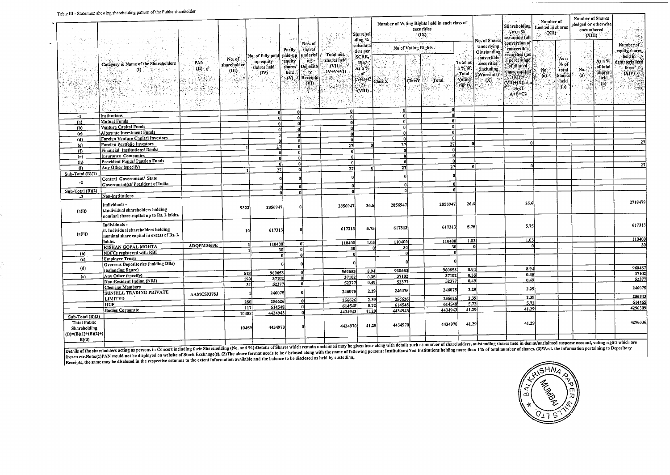$\overline{\phantom{a}}$ 

| 1996 HL = 9796671611 Stromme sum enormed i                                         |                                                                                                  |                                                                                                                                                                                                                                                                                                                                            |                 |                                | $\mathbb{R}^{2n}$                   | u bi                              | 燕竹              | Sharchol<br>ding %                           |                      |         | Number of Voting Rights held in each class of<br>securities<br>(IX) |                             | No. of Shares            | الثاقية ال<br><b>Shareholding</b><br>$\ldots$ as a %.<br>assuming full | Number of<br>Locked in shares<br>(XII) |                 | <b>Number of Shares</b><br>pledged or otherwise<br>encumbered<br>(xii) |                              | ्म्<br>विदे<br>بتران بالمناد      |
|------------------------------------------------------------------------------------|--------------------------------------------------------------------------------------------------|--------------------------------------------------------------------------------------------------------------------------------------------------------------------------------------------------------------------------------------------------------------------------------------------------------------------------------------------|-----------------|--------------------------------|-------------------------------------|-----------------------------------|-----------------|----------------------------------------------|----------------------|---------|---------------------------------------------------------------------|-----------------------------|--------------------------|------------------------------------------------------------------------|----------------------------------------|-----------------|------------------------------------------------------------------------|------------------------------|-----------------------------------|
|                                                                                    |                                                                                                  | $\rightarrow$ $\bar{\lambda}$ .                                                                                                                                                                                                                                                                                                            |                 |                                |                                     | Nos. of<br>calculate              |                 |                                              | No of Voting Rights  |         |                                                                     |                             | Underlying               | conversion of                                                          |                                        |                 |                                                                        |                              | Number of                         |
|                                                                                    |                                                                                                  |                                                                                                                                                                                                                                                                                                                                            |                 |                                | Parily                              | shares                            | Total nos.      | d as per                                     |                      |         |                                                                     |                             | <b>Outstanding</b>       | convertible<br>securities (as                                          |                                        |                 | $\chi\to$                                                              |                              | equity shares                     |
|                                                                                    |                                                                                                  |                                                                                                                                                                                                                                                                                                                                            | No. of          | No. of fully paid<br>up equity | paid-up<br>equity                   | underlyi<br>ng.                   | shares held     | SCRR,                                        |                      |         |                                                                     |                             | convertible              | a percentage.                                                          |                                        | As n            | 人居县                                                                    | As n %                       | held in<br>dematerialized         |
|                                                                                    | Category & Name of the Shareholders<br>$\begin{array}{c} \hline \textbf{0} \end{array}$          | PAN.<br>$\sigma_{m,k}$<br>(II)                                                                                                                                                                                                                                                                                                             | sharcholder     | shares held                    | shares                              | Deposito                          | $CVII =$        | 1957<br>As a %                               |                      |         |                                                                     | Total as<br>n % of          | securities               | of diluted                                                             |                                        | $%$ of          |                                                                        | of total                     |                                   |
| $\phi_{\rm P}$ (se,                                                                | 15 Queen<br>ા સ્ટિપ્ <sub>ર</sub> સ્                                                             | A. A                                                                                                                                                                                                                                                                                                                                       | (iii)           | $(IV)^{2}$                     | held                                | ∛.ry                              | 1V+V+VI)        | 5 oF                                         |                      |         |                                                                     | Total                       | (including)<br>Warrants) | share capital)                                                         | No.                                    | total<br>Shares | No.                                                                    | shares <sup>®</sup>          | form $(XIV)$                      |
|                                                                                    | $\mathbb{R}^{d-1}_{\mathbb{Z}_2}$<br>The County of the                                           |                                                                                                                                                                                                                                                                                                                                            | بالجرداري<br>W. |                                | $\langle \mathsf{W} \rangle$<br>-12 | Receipts<br>(VD)<br>$\sim$ $\sim$ |                 | $(A+ B+C)$ Class X<br>$-2)$<br>(VIII)<br>MQ. | $2.1\,\mu\mathrm{m}$ | ClassY. | $\sim$ Total<br>$+11$<br>病理病<br>$\mathcal{N}_{\mathcal{C}}$         | Voting<br>rights<br>والأورع | $(\mathbf{X})$           | <b>EXITE</b><br>$(VII)+(X)$ as a<br>$\sim$ % of<br>$A+B+C2$            | (a)<br>ارداؤ مد                        | held<br>(b)     | (a)<br>$\mathcal{R}^{\text{tr}}_{\text{GQ}}$<br>સેદ                    | held<br>$\ddot{\phantom{a}}$ | - 18<br>C. 6<br>化氯酸<br>$\sim 0.5$ |
| nga .                                                                              | 化硫酸盐 电双向电阻<br>$\sim$ 10 $^{\circ}$                                                               | $\begin{bmatrix} \begin{smallmatrix} 1 & 0 & 0 & 0 \\ 0 & 0 & 0 & 0 \\ 0 & 0 & 0 & 0 \\ 0 & 0 & 0 & 0 \\ 0 & 0 & 0 & 0 \\ 0 & 0 & 0 & 0 \\ 0 & 0 & 0 & 0 \\ 0 & 0 & 0 & 0 \\ 0 & 0 & 0 & 0 \\ 0 & 0 & 0 & 0 \\ 0 & 0 & 0 & 0 \\ 0 & 0 & 0 & 0 \\ 0 & 0 & 0 & 0 \\ 0 & 0 & 0 & 0 & 0 \\ 0 & 0 & 0 & 0 & 0 \\ 0 & 0 & 0 & 0 & 0 \\ 0 & 0 & $ | 수리              |                                |                                     |                                   |                 |                                              |                      |         |                                                                     |                             |                          | 14 H.A.                                                                |                                        |                 |                                                                        |                              |                                   |
| 3T<br>$-1$                                                                         |                                                                                                  |                                                                                                                                                                                                                                                                                                                                            |                 |                                | ΩÎ                                  |                                   | ΩI<br>n.        |                                              | n.<br>$\Omega$       |         |                                                                     |                             |                          |                                                                        |                                        |                 |                                                                        |                              |                                   |
| (n)                                                                                | <b>Mutual Funds</b>                                                                              |                                                                                                                                                                                                                                                                                                                                            |                 |                                | 0<br>۵l                             |                                   | 0İ              |                                              | $\mathbf{u}$         |         | n۱                                                                  |                             |                          |                                                                        |                                        |                 |                                                                        |                              |                                   |
| (b)                                                                                | <b>Venture Capital Funds</b>                                                                     |                                                                                                                                                                                                                                                                                                                                            |                 |                                | n١                                  |                                   | ۵ŀ              |                                              | $\mathbf{a}$         |         | n                                                                   |                             |                          |                                                                        |                                        |                 |                                                                        |                              |                                   |
| (c)                                                                                | <b>Alternate Investment Funds</b>                                                                |                                                                                                                                                                                                                                                                                                                                            |                 | n١                             | 0                                   |                                   | ۰ol             |                                              | n                    |         | ΩÎ                                                                  |                             |                          |                                                                        |                                        |                 |                                                                        |                              |                                   |
| (d)                                                                                | <b>Foreign Venture Capital Investors</b>                                                         |                                                                                                                                                                                                                                                                                                                                            |                 | $\Omega$                       | nl                                  |                                   | -o1             |                                              |                      |         | 0l                                                                  |                             |                          |                                                                        |                                        |                 |                                                                        |                              | 27                                |
| (e)                                                                                | Foreign Portfolio Investors                                                                      |                                                                                                                                                                                                                                                                                                                                            |                 | 27)                            |                                     | n                                 | $\overline{27}$ |                                              | -271                 |         | 271                                                                 |                             |                          |                                                                        |                                        |                 |                                                                        |                              |                                   |
| (n)                                                                                | Financial Institutions/ Banks                                                                    |                                                                                                                                                                                                                                                                                                                                            |                 | ΩÍ                             |                                     | n                                 | ol              |                                              |                      |         | <b>n</b><br>nl                                                      |                             |                          |                                                                        |                                        |                 |                                                                        |                              |                                   |
| $(g)$                                                                              | <b>Insurance Companies</b><br>Provident Funds/ Pension Funds                                     |                                                                                                                                                                                                                                                                                                                                            |                 | лl                             |                                     | -al                               | O               |                                              | ni<br>ΩI             |         | ΩI                                                                  |                             |                          |                                                                        |                                        |                 |                                                                        |                              |                                   |
| (h)                                                                                | Any Other (specify)                                                                              |                                                                                                                                                                                                                                                                                                                                            |                 | -al                            |                                     | $\mathbf{0}$                      | n               |                                              | 27                   |         | 27                                                                  | nl                          |                          | ΩI                                                                     |                                        |                 |                                                                        |                              | 27                                |
| (i)                                                                                |                                                                                                  |                                                                                                                                                                                                                                                                                                                                            |                 | 27                             |                                     | $\Omega$                          | 27              |                                              |                      |         |                                                                     |                             |                          |                                                                        |                                        |                 |                                                                        |                              |                                   |
| Sub-Total (B)(1)                                                                   | Central Government/ State                                                                        |                                                                                                                                                                                                                                                                                                                                            |                 |                                |                                     |                                   |                 |                                              |                      |         |                                                                     |                             |                          |                                                                        |                                        |                 |                                                                        |                              |                                   |
| $-2$                                                                               | Government(s)/ President of India                                                                |                                                                                                                                                                                                                                                                                                                                            |                 |                                |                                     | $\mathbf{r}$                      |                 | n.                                           |                      | n.      | n.                                                                  |                             |                          |                                                                        |                                        |                 |                                                                        |                              |                                   |
| Sub-Total (B)(2)                                                                   |                                                                                                  |                                                                                                                                                                                                                                                                                                                                            |                 | $\mathbf{0}$                   |                                     | nl                                | ß               |                                              | nl                   |         |                                                                     |                             |                          |                                                                        |                                        |                 |                                                                        |                              |                                   |
| $-3$                                                                               | Non-institutions                                                                                 |                                                                                                                                                                                                                                                                                                                                            |                 |                                |                                     |                                   |                 |                                              |                      |         |                                                                     |                             |                          |                                                                        |                                        |                 |                                                                        |                              |                                   |
| (a(i))                                                                             | Individuals-<br>i.Individual shareholders holding<br>nominal share capital up to Rs. 2 lakhs.    |                                                                                                                                                                                                                                                                                                                                            | 9823            | 2856947                        |                                     |                                   | 2856947         | 26.6                                         | 2856947              |         | 2856947                                                             | 26.6                        |                          | 26.6                                                                   |                                        |                 |                                                                        |                              | 2718479                           |
| (a(ii))                                                                            | Individuals -<br>ii. Individual shareholders holding<br>nominal share capital in excess of Rs. 2 |                                                                                                                                                                                                                                                                                                                                            |                 | 617313                         |                                     |                                   | 617313          | 5.75                                         | 617313               |         | 617313                                                              | 5.75                        |                          | 5.75<br>1.03                                                           |                                        |                 |                                                                        |                              | 617313<br>110400                  |
|                                                                                    | lakhs.                                                                                           | ADOPM0469E                                                                                                                                                                                                                                                                                                                                 |                 | 110400                         |                                     |                                   | 110400          | 1.03                                         | 110400               |         | 110400                                                              | 1.03<br>$\mathbf{a}$        |                          |                                                                        |                                        |                 |                                                                        |                              | 30                                |
|                                                                                    | <b>KISHAN GOPAL MOHTA</b><br>NBFCs registered with RBI                                           |                                                                                                                                                                                                                                                                                                                                            |                 | 30                             |                                     | n                                 |                 | 30                                           | 30<br>۵l             | -ni     | 30<br>o                                                             |                             |                          |                                                                        |                                        |                 |                                                                        |                              |                                   |
| (b)<br>(c)                                                                         | <b>Employee Trusts</b>                                                                           |                                                                                                                                                                                                                                                                                                                                            |                 |                                |                                     | n                                 |                 | n.                                           |                      |         |                                                                     |                             |                          |                                                                        |                                        |                 |                                                                        |                              |                                   |
|                                                                                    | <b>Overseas Depositories (holding DRs)</b>                                                       |                                                                                                                                                                                                                                                                                                                                            |                 |                                |                                     |                                   |                 |                                              |                      |         |                                                                     |                             |                          |                                                                        |                                        |                 |                                                                        |                              |                                   |
| (d)                                                                                | (balancing figure)                                                                               |                                                                                                                                                                                                                                                                                                                                            |                 | 960653                         |                                     |                                   | 960653          | 8,94                                         | 960653               |         | 960653                                                              | 8.94                        |                          | 8.94                                                                   |                                        |                 |                                                                        |                              | 960487                            |
| (e)                                                                                | Any Other (specify)                                                                              |                                                                                                                                                                                                                                                                                                                                            | 618<br>190      | 37102                          |                                     | -nl                               | 37102           | 0.35                                         | 37102                |         | 37102                                                               | 0.35                        |                          | 0.35                                                                   |                                        |                 |                                                                        |                              | 37102                             |
|                                                                                    | Non-Resident Indian (NRI)                                                                        |                                                                                                                                                                                                                                                                                                                                            | -31             | 52377                          |                                     |                                   | 52377           | 0.49                                         | 52377                |         | 52377                                                               | 0.49                        |                          | 0,49                                                                   |                                        |                 |                                                                        |                              | 52377                             |
|                                                                                    | <b>Clearing Members</b>                                                                          |                                                                                                                                                                                                                                                                                                                                            |                 |                                |                                     |                                   |                 | 2.29                                         | 246075               |         | 246075                                                              | 2.29                        |                          | 2.29                                                                   |                                        |                 |                                                                        |                              | 246075                            |
|                                                                                    | SUNHILL TRADING PRIVATE                                                                          | AAMCS9378J                                                                                                                                                                                                                                                                                                                                 |                 | 246075                         |                                     |                                   | 246075          |                                              |                      |         |                                                                     | 2.39                        |                          | 2.39                                                                   |                                        |                 |                                                                        |                              | 256543                            |
|                                                                                    | <b>LIMITED</b>                                                                                   |                                                                                                                                                                                                                                                                                                                                            | 280             | 256626                         |                                     |                                   | 256626          | $\overline{2.39}$                            | 256626               |         | 256626<br>614548                                                    | 5.72                        |                          | 5.72                                                                   |                                        |                 |                                                                        |                              | 614465                            |
|                                                                                    | lhuf.<br><b>Bodies Corporate</b>                                                                 |                                                                                                                                                                                                                                                                                                                                            | 117             | 614548                         |                                     | 0l                                | 614548          | 5.72                                         | 614548<br>4434943    |         | 4434943                                                             | 41.29                       |                          | 41.29                                                                  |                                        |                 |                                                                        |                              | 4296309                           |
|                                                                                    |                                                                                                  |                                                                                                                                                                                                                                                                                                                                            | 10458           | 4434943                        |                                     | n                                 | 4434943         | 41.29                                        |                      |         |                                                                     |                             |                          |                                                                        |                                        |                 |                                                                        |                              |                                   |
| Sub-Total (B)(3)<br><b>Total Public</b><br>Shareholding<br>$(B)=(B)(1)+(B)(2)+(B)$ |                                                                                                  |                                                                                                                                                                                                                                                                                                                                            | 10459           | 4434970                        |                                     |                                   | 4434970         | 41.29                                        | 4434970              |         | 4434970                                                             | 41,29                       |                          | 41.29                                                                  |                                        |                 |                                                                        |                              | 4296336                           |
| B(3)                                                                               |                                                                                                  |                                                                                                                                                                                                                                                                                                                                            |                 |                                |                                     |                                   |                 |                                              |                      |         |                                                                     |                             |                          |                                                                        |                                        |                 |                                                                        |                              | والمقطعة ومفطورات                 |

Details of the shareholders acting as persons in Concert including their Shareholded income including (No. and %):Details of Shares which remain unclaimed may be given hear along with details such as number of shareholders recen etc.Note:(1)PAN would not be usplused on weashed and the extent information available and the balance to be disclosed as held by custodian,<br>Peccints, the same may be disclosed in the respective columns to the extent



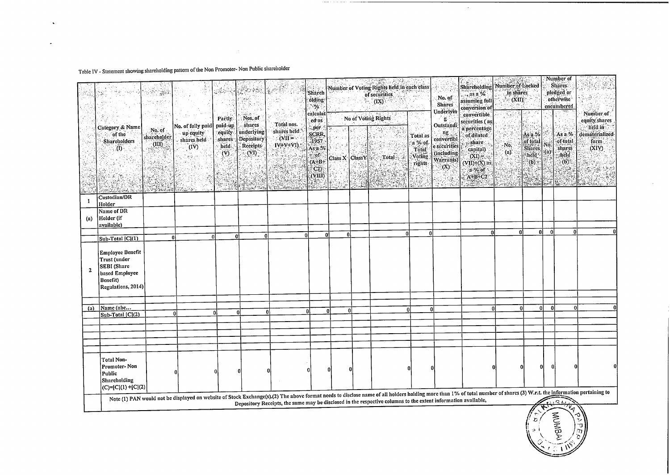## Table IV - Statement showing shareholding pattern of the Non Promoter-Non Public shareholder

 $\bullet$ 

 $\ddot{\phantom{1}}$ 

|                                   | -549                                                                                                       |                                     | 광                                                                                                                                                                                                                      |                                                                      | 实外教育<br>: Nos. of                                      |                                                                                                               | <b>Sharch</b><br>olding<br>$\sim$<br>calculat                          |                   |          | Number of Voting Rights lield in each class<br>of securities<br>(TX) |                                                                   | No. of<br><b>Shares</b><br>Underlyin                                                           | Shareholding<br>$\ldots$ as a %<br>assuming full<br>conversion of<br>convertible                        | 3663425<br>Number of Locked<br>in shares<br>$\sim$ $\alpha$ in $\sim$ |                                                                    |                                  | Number of<br><b>Shares:</b><br>pledged or<br>otherwise<br>encumbered | Number of                                                    |
|-----------------------------------|------------------------------------------------------------------------------------------------------------|-------------------------------------|------------------------------------------------------------------------------------------------------------------------------------------------------------------------------------------------------------------------|----------------------------------------------------------------------|--------------------------------------------------------|---------------------------------------------------------------------------------------------------------------|------------------------------------------------------------------------|-------------------|----------|----------------------------------------------------------------------|-------------------------------------------------------------------|------------------------------------------------------------------------------------------------|---------------------------------------------------------------------------------------------------------|-----------------------------------------------------------------------|--------------------------------------------------------------------|----------------------------------|----------------------------------------------------------------------|--------------------------------------------------------------|
| 50                                | Category & Name<br>of the<br><b>Shareholders</b><br>$\mathbf{u}$                                           | No. of<br>shareholder<br>(iii)      | No. of fully paid<br>up equity<br>shares held<br>(IV)<br>in<br>San                                                                                                                                                     | <b>Partly</b><br>paid-up<br>equity<br>shares<br>held<br>$\mathbf{y}$ | shares<br>underlying<br>Depository<br>Receipts<br>(VI) | Total nos.<br>shares held.<br>$\sim$ $\alpha$ ii =<br>$IV+V+VI$ )                                             | ed as<br>per.<br><b>SCRR</b><br>1957<br>As a %<br>$\sim$ of<br>$(A+B+$ | Class X   Class Y |          | No of Voting Rights<br>Total :                                       | $\mathcal{Q}_\infty$ tet<br>Total as<br>a %:of<br>Total<br>Voting | $-$ g. $^{\circ}$<br>Outstandi<br>ng<br>convertibl<br>e securities<br>(including)<br>Warrants) | securities (as<br>a percentage<br>of diluted<br>share.<br>capital)<br>$(XI) = \cdots$<br>$(VII)+(X)$ as | No.<br>(a)                                                            | Asa.%<br>of total<br><b>Shares</b><br>held <sup>*</sup><br>$(b)$ : | Νő<br>$\left( \mathbf{a}\right)$ | As $a\%$<br>of total<br>shares<br>-held<br>(b)                       | equity shares<br>held in<br>dematerialized<br>form.<br>(XIV) |
|                                   |                                                                                                            | <b>RADA</b><br><b>Barbara (BAL)</b> |                                                                                                                                                                                                                        | كالمصرور                                                             | Sand Safe                                              | <b>Carlo William C</b>                                                                                        | C2<br>(VIII)                                                           |                   |          |                                                                      | rights<br>高度控制                                                    | $(\mathbf{X})$                                                                                 | a % of<br>$A+B+C2$<br>ra Par                                                                            |                                                                       | (1, 1, 1, 1)                                                       |                                  | $\mathcal{R}_2$ :                                                    |                                                              |
| $\mathbf{1}$<br>$\left( a\right)$ | Custodian/DR<br>Holder<br>Name of DR<br>Holder (if<br>available)                                           |                                     |                                                                                                                                                                                                                        |                                                                      |                                                        |                                                                                                               |                                                                        |                   |          |                                                                      |                                                                   |                                                                                                |                                                                                                         |                                                                       |                                                                    |                                  |                                                                      |                                                              |
|                                   | $\sqrt{\text{Sub-Total }  C (1)}$                                                                          |                                     |                                                                                                                                                                                                                        | 0l<br>0                                                              |                                                        | ΩI                                                                                                            | n                                                                      | $\Omega$<br>u     |          | 0                                                                    | $\overline{0}$                                                    |                                                                                                | n                                                                                                       | ۵I                                                                    | 01                                                                 | - Ol                             | ŋ                                                                    |                                                              |
| $\mathbf{2}$                      | Employee Benefit<br>Trust (under<br><b>SEBI</b> (Share<br>based Employee<br>Benefit)<br>Regulations, 2014) |                                     |                                                                                                                                                                                                                        |                                                                      |                                                        |                                                                                                               |                                                                        |                   |          |                                                                      |                                                                   |                                                                                                |                                                                                                         |                                                                       |                                                                    |                                  |                                                                      |                                                              |
| (a)                               | Name (abc<br>$ Sub-Total  C (2)$                                                                           |                                     | $\mathbf{0}$                                                                                                                                                                                                           | $\Omega$                                                             | $\mathbf{u}$                                           | $\mathbf{0}$                                                                                                  | <b>0</b>                                                               | ٥l                | 0I       |                                                                      | Ωl                                                                | n                                                                                              | ٥l                                                                                                      | 0l                                                                    | 0l                                                                 | $\Omega$                         |                                                                      |                                                              |
|                                   |                                                                                                            |                                     |                                                                                                                                                                                                                        |                                                                      |                                                        |                                                                                                               |                                                                        |                   |          |                                                                      |                                                                   |                                                                                                |                                                                                                         |                                                                       |                                                                    |                                  |                                                                      |                                                              |
|                                   | Total Non-<br>Promoter-Non<br>Public<br>Shareholding<br> (C)=[C](1) +[C](2)                                |                                     |                                                                                                                                                                                                                        |                                                                      |                                                        |                                                                                                               |                                                                        | $\overline{0}$    | $\Omega$ |                                                                      |                                                                   |                                                                                                |                                                                                                         |                                                                       | $\overline{0}$                                                     | $\Omega$                         |                                                                      |                                                              |
|                                   |                                                                                                            |                                     | Note (1) PAN would not be displayed on website of Stock Exchange(s).(2) The above format needs to disclose name of all holders holding more than 1% of total number of shares (3) W.r.t. the information pertaining to |                                                                      |                                                        | Depository Receipts, the same may be disclosed in the respective columns to the extent information available, |                                                                        |                   |          |                                                                      |                                                                   |                                                                                                |                                                                                                         |                                                                       |                                                                    |                                  | $C_{\ell}$<br>$\tau_{\!\!\sqrt{q}}$                                  |                                                              |

 $\sim$ 



 $\sim$